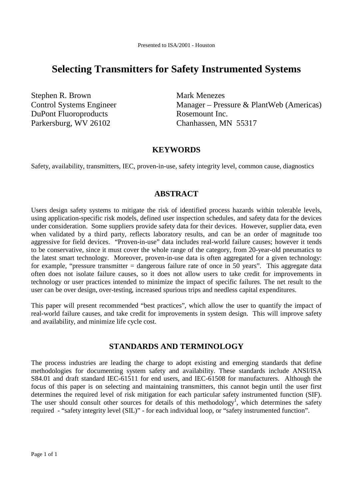# **Selecting Transmitters for Safety Instrumented Systems**

Stephen R. Brown Mark Menezes DuPont Fluoroproducts Rosemount Inc. Parkersburg, WV 26102 Chanhassen, MN 55317

Control Systems Engineer Manager – Pressure & PlantWeb (Americas)

### **KEYWORDS**

Safety, availability, transmitters, IEC, proven-in-use, safety integrity level, common cause, diagnostics

### **ABSTRACT**

Users design safety systems to mitigate the risk of identified process hazards within tolerable levels, using application-specific risk models, defined user inspection schedules, and safety data for the devices under consideration. Some suppliers provide safety data for their devices. However, supplier data, even when validated by a third party, reflects laboratory results, and can be an order of magnitude too aggressive for field devices. "Proven-in-use" data includes real-world failure causes; however it tends to be conservative, since it must cover the whole range of the category, from 20-year-old pneumatics to the latest smart technology. Moreover, proven-in-use data is often aggregated for a given technology: for example, "pressure transmitter  $=$  dangerous failure rate of once in 50 years". This aggregate data often does not isolate failure causes, so it does not allow users to take credit for improvements in technology or user practices intended to minimize the impact of specific failures. The net result to the user can be over design, over-testing, increased spurious trips and needless capital expenditures.

This paper will present recommended "best practices", which allow the user to quantify the impact of real-world failure causes, and take credit for improvements in system design. This will improve safety and availability, and minimize life cycle cost.

### **STANDARDS AND TERMINOLOGY**

The process industries are leading the charge to adopt existing and emerging standards that define methodologies for documenting system safety and availability. These standards include ANSI/ISA S84.01 and draft standard IEC-61511 for end users, and IEC-61508 for manufacturers. Although the focus of this paper is on selecting and maintaining transmitters, this cannot begin until the user first determines the required level of risk mitigation for each particular safety instrumented function (SIF). The user should consult other sources for details of this methodology<sup>1</sup>, which determines the safety required - "safety integrity level (SIL)" - for each individual loop, or "safety instrumented function".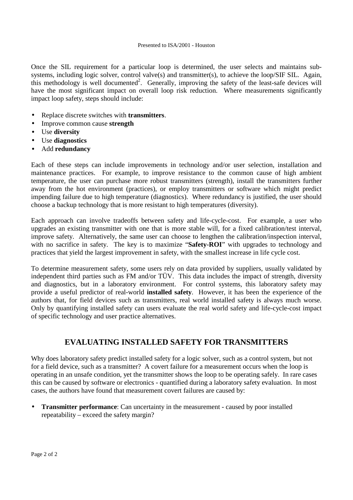Once the SIL requirement for a particular loop is determined, the user selects and maintains subsystems, including logic solver, control valve(s) and transmitter(s), to achieve the loop/SIF SIL. Again, this methodology is well documented<sup>2</sup>. Generally, improving the safety of the least-safe devices will have the most significant impact on overall loop risk reduction. Where measurements significantly impact loop safety, steps should include:

- Replace discrete switches with **transmitters**.
- Improve common cause **strength**
- Use **diversity**
- Use **diagnostics**
- Add **redundancy**

Each of these steps can include improvements in technology and/or user selection, installation and maintenance practices. For example, to improve resistance to the common cause of high ambient temperature, the user can purchase more robust transmitters (strength), install the transmitters further away from the hot environment (practices), or employ transmitters or software which might predict impending failure due to high temperature (diagnostics). Where redundancy is justified, the user should choose a backup technology that is more resistant to high temperatures (diversity).

Each approach can involve tradeoffs between safety and life-cycle-cost. For example, a user who upgrades an existing transmitter with one that is more stable will, for a fixed calibration/test interval, improve safety. Alternatively, the same user can choose to lengthen the calibration/inspection interval, with no sacrifice in safety. The key is to maximize "**Safety-ROI**" with upgrades to technology and practices that yield the largest improvement in safety, with the smallest increase in life cycle cost.

To determine measurement safety, some users rely on data provided by suppliers, usually validated by independent third parties such as FM and/or TÜV. This data includes the impact of strength, diversity and diagnostics, but in a laboratory environment. For control systems, this laboratory safety may provide a useful predictor of real-world **installed safety**. However, it has been the experience of the authors that, for field devices such as transmitters, real world installed safety is always much worse. Only by quantifying installed safety can users evaluate the real world safety and life-cycle-cost impact of specific technology and user practice alternatives.

## **EVALUATING INSTALLED SAFETY FOR TRANSMITTERS**

Why does laboratory safety predict installed safety for a logic solver, such as a control system, but not for a field device, such as a transmitter? A covert failure for a measurement occurs when the loop is operating in an unsafe condition, yet the transmitter shows the loop to be operating safely. In rare cases this can be caused by software or electronics - quantified during a laboratory safety evaluation. In most cases, the authors have found that measurement covert failures are caused by:

**Transmitter performance**: Can uncertainty in the measurement - caused by poor installed repeatability – exceed the safety margin?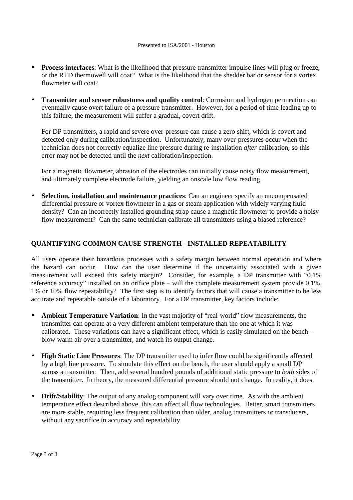- **Process interfaces**: What is the likelihood that pressure transmitter impulse lines will plug or freeze, or the RTD thermowell will coat? What is the likelihood that the shedder bar or sensor for a vortex flowmeter will coat?
- **Transmitter and sensor robustness and quality control**: Corrosion and hydrogen permeation can eventually cause overt failure of a pressure transmitter. However, for a period of time leading up to this failure, the measurement will suffer a gradual, covert drift.

For DP transmitters, a rapid and severe over-pressure can cause a zero shift, which is covert and detected only during calibration/inspection. Unfortunately, many over-pressures occur when the technician does not correctly equalize line pressure during re-installation *after* calibration, so this error may not be detected until the *next* calibration/inspection.

For a magnetic flowmeter, abrasion of the electrodes can initially cause noisy flow measurement, and ultimately complete electrode failure, yielding an onscale low flow reading.

• **Selection, installation and maintenance practices**: Can an engineer specify an uncompensated differential pressure or vortex flowmeter in a gas or steam application with widely varying fluid density? Can an incorrectly installed grounding strap cause a magnetic flowmeter to provide a noisy flow measurement? Can the same technician calibrate all transmitters using a biased reference?

#### **QUANTIFYING COMMON CAUSE STRENGTH - INSTALLED REPEATABILITY**

All users operate their hazardous processes with a safety margin between normal operation and where the hazard can occur. How can the user determine if the uncertainty associated with a given measurement will exceed this safety margin? Consider, for example, a DP transmitter with "0.1% reference accuracy" installed on an orifice plate – will the complete measurement system provide 0.1%, 1% or 10% flow repeatability? The first step is to identify factors that will cause a transmitter to be less accurate and repeatable outside of a laboratory. For a DP transmitter, key factors include:

- Ambient Temperature Variation: In the vast majority of "real-world" flow measurements, the transmitter can operate at a very different ambient temperature than the one at which it was calibrated. These variations can have a significant effect, which is easily simulated on the bench – blow warm air over a transmitter, and watch its output change.
- **High Static Line Pressures**: The DP transmitter used to infer flow could be significantly affected by a high line pressure. To simulate this effect on the bench, the user should apply a small DP across a transmitter. Then, add several hundred pounds of additional static pressure to *both* sides of the transmitter. In theory, the measured differential pressure should not change. In reality, it does.
- **Drift/Stability**: The output of any analog component will vary over time. As with the ambient temperature effect described above, this can affect all flow technologies. Better, smart transmitters are more stable, requiring less frequent calibration than older, analog transmitters or transducers, without any sacrifice in accuracy and repeatability.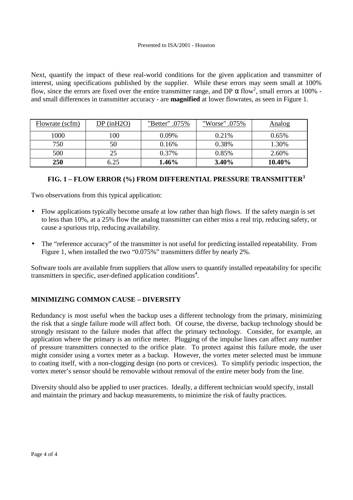Next, quantify the impact of these real-world conditions for the given application and transmitter of interest, using specifications published by the supplier. While these errors may seem small at 100% flow, since the errors are fixed over the entire transmitter range, and DP  $\alpha$  flow<sup>2</sup>, small errors at 100% and small differences in transmitter accuracy - are **magnified** at lower flowrates, as seen in Figure 1.

| Flowrate (scfm) | $DP$ (in $H2O$ ) | "Better" .075% | "Worse" .075% | Analog   |
|-----------------|------------------|----------------|---------------|----------|
| 1000            | 100              | $0.09\%$       | 0.21\%        | $0.65\%$ |
| 750             | 50               | 0.16%          | 0.38%         | 1.30%    |
| 500             | 25               | 0.37%          | 0.85%         | 2.60%    |
| <b>250</b>      | 6.25             | 1.46%          | 3.40%         | 10.40%   |

### **FIG. 1 – FLOW ERROR (%) FROM DIFFERENTIAL PRESSURE TRANSMITTER<sup>3</sup>**

Two observations from this typical application:

- Flow applications typically become unsafe at low rather than high flows. If the safety margin is set to less than 10%, at a 25% flow the analog transmitter can either miss a real trip, reducing safety, or cause a spurious trip, reducing availability.
- The "reference accuracy" of the transmitter is not useful for predicting installed repeatability. From Figure 1, when installed the two "0.075%" transmitters differ by nearly 2%.

Software tools are available from suppliers that allow users to quantify installed repeatability for specific transmitters in specific, user-defined application conditions<sup>4</sup>.

### **MINIMIZING COMMON CAUSE – DIVERSITY**

Redundancy is most useful when the backup uses a different technology from the primary, minimizing the risk that a single failure mode will affect both. Of course, the diverse, backup technology should be strongly resistant to the failure modes that affect the primary technology. Consider, for example, an application where the primary is an orifice meter. Plugging of the impulse lines can affect any number of pressure transmitters connected to the orifice plate. To protect against this failure mode, the user might consider using a vortex meter as a backup. However, the vortex meter selected must be immune to coating itself, with a non-clogging design (no ports or crevices). To simplify periodic inspection, the vortex meter's sensor should be removable without removal of the entire meter body from the line.

Diversity should also be applied to user practices. Ideally, a different technician would specify, install and maintain the primary and backup measurements, to minimize the risk of faulty practices.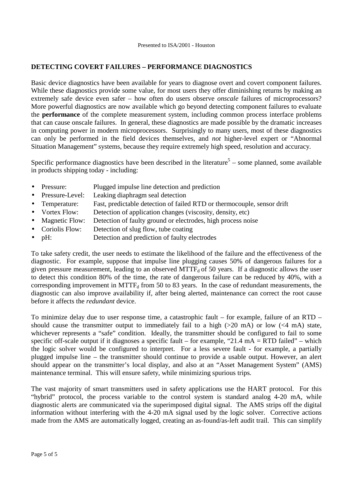#### **DETECTING COVERT FAILURES – PERFORMANCE DIAGNOSTICS**

Basic device diagnostics have been available for years to diagnose overt and covert component failures. While these diagnostics provide some value, for most users they offer diminishing returns by making an extremely safe device even safer – how often do users observe *onscale* failures of microprocessors? More powerful diagnostics are now available which go beyond detecting component failures to evaluate the **performance** of the complete measurement system, including common process interface problems that can cause onscale failures. In general, these diagnostics are made possible by the dramatic increases in computing power in modern microprocessors. Surprisingly to many users, most of these diagnostics can only be performed in the field devices themselves, and *not* higher-level expert or "Abnormal Situation Management" systems, because they require extremely high speed, resolution and accuracy.

Specific performance diagnostics have been described in the literature<sup>5</sup> – some planned, some available in products shipping today - including:

- Pressure: Plugged impulse line detection and prediction
- Pressure-Level: Leaking diaphragm seal detection
- Temperature: Fast, predictable detection of failed RTD or thermocouple, sensor drift
- Vortex Flow: Detection of application changes (viscosity, density, etc)
- Magnetic Flow: Detection of faulty ground or electrodes, high process noise
- Coriolis Flow: Detection of slug flow, tube coating
- pH: Detection and prediction of faulty electrodes

To take safety credit, the user needs to estimate the likelihood of the failure and the effectiveness of the diagnostic. For example, suppose that impulse line plugging causes 50% of dangerous failures for a given pressure measurement, leading to an observed  $MTTF_d$  of 50 years. If a diagnostic allows the user to detect this condition 80% of the time, the rate of dangerous failure can be reduced by 40%, with a corresponding improvement in MTTF $_d$  from 50 to 83 years. In the case of redundant measurements, the diagnostic can also improve availability if, after being alerted, maintenance can correct the root cause before it affects the *redundant* device.

To minimize delay due to user response time, a catastrophic fault – for example, failure of an RTD – should cause the transmitter output to immediately fail to a high  $(>20 \text{ mA})$  or low  $(<4 \text{ mA})$  state, whichever represents a "safe" condition. Ideally, the transmitter should be configured to fail to some specific off-scale output if it diagnoses a specific fault – for example, "21.4  $mA = RTD$  failed" – which the logic solver would be configured to interpret. For a less severe fault - for example, a partially plugged impulse line – the transmitter should continue to provide a usable output. However, an alert should appear on the transmitter's local display, and also at an "Asset Management System" (AMS) maintenance terminal. This will ensure safety, while minimizing spurious trips.

The vast majority of smart transmitters used in safety applications use the HART protocol. For this "hybrid" protocol, the process variable to the control system is standard analog 4-20 mA, while diagnostic alerts are communicated via the superimposed digital signal. The AMS strips off the digital information without interfering with the 4-20 mA signal used by the logic solver. Corrective actions made from the AMS are automatically logged, creating an as-found/as-left audit trail. This can simplify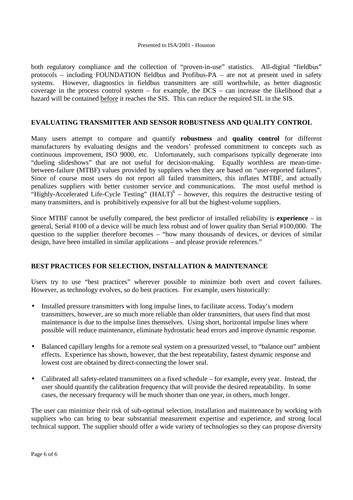both regulatory compliance and the collection of "proven-in-use" statistics. All-digital "fieldbus" protocols – including FOUNDATION fieldbus and Profibus-PA – are not at present used in safety systems. However, diagnostics in fieldbus transmitters are still worthwhile, as better diagnostic coverage in the process control system – for example, the DCS – can increase the likelihood that a hazard will be contained before it reaches the SIS. This can reduce the required SIL in the SIS.

#### **EVALUATING TRANSMITTER AND SENSOR ROBUSTNESS AND QUALITY CONTROL**

Many users attempt to compare and quantify **robustness** and **quality control** for different manufacturers by evaluating designs and the vendors' professed commitment to concepts such as continuous improvement, ISO 9000, etc. Unfortunately, such comparisons typically degenerate into "dueling slideshows" that are not useful for decision-making. Equally worthless are mean-timebetween-failure (MTBF) values provided by suppliers when they are based on "user-reported failures". Since of course most users do not report all failed transmitters, this inflates MTBF, and actually penalizes suppliers with better customer service and communications. The most useful method is "Highly-Accelerated Life-Cycle Testing"  $(HALT)^6$  – however, this requires the destructive testing of many transmitters, and is prohibitively expensive for all but the highest-volume suppliers.

Since MTBF cannot be usefully compared, the best predictor of installed reliability is **experience** – in general, Serial #100 of a device will be much less robust and of lower quality than Serial #100,000. The question to the supplier therefore becomes – "how many thousands of devices, or devices of similar design, have been installed in similar applications – and please provide references."

#### **BEST PRACTICES FOR SELECTION, INSTALLATION & MAINTENANCE**

Users try to use "best practices" wherever possible to minimize both overt and covert failures. However, as technology evolves, so do best practices. For example, users historically:

- Installed pressure transmitters with long impulse lines, to facilitate access. Today's modern transmitters, however, are so much more reliable than older transmitters, that users find that most maintenance is due to the impulse lines themselves. Using short, horizontal impulse lines where possible will reduce maintenance, eliminate hydrostatic head errors and improve dynamic response.
- Balanced capillary lengths for a remote seal system on a pressurized vessel, to "balance out" ambient effects. Experience has shown, however, that the best repeatability, fastest dynamic response and lowest cost are obtained by direct-connecting the lower seal.
- Calibrated all safety-related transmitters on a fixed schedule for example, every year. Instead, the user should quantify the calibration frequency that will provide the desired repeatability. In some cases, the necessary frequency will be much shorter than one year, in others, much longer.

The user can minimize their risk of sub-optimal selection, installation and maintenance by working with suppliers who can bring to bear substantial measurement expertise and experience, and strong local technical support. The supplier should offer a wide variety of technologies so they can propose diversity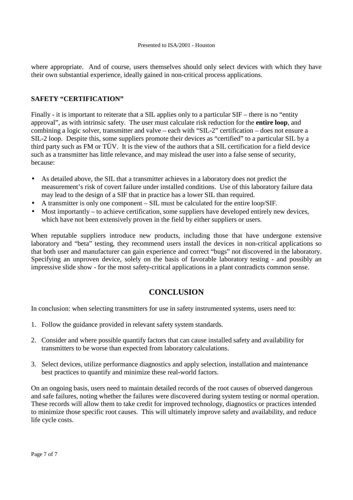where appropriate. And of course, users themselves should only select devices with which they have their own substantial experience, ideally gained in non-critical process applications.

#### **SAFETY "CERTIFICATION"**

Finally - it is important to reiterate that a SIL applies only to a particular SIF – there is no "entity approval", as with intrinsic safety. The user must calculate risk reduction for the **entire loop**, and combining a logic solver, transmitter and valve – each with "SIL-2" certification – does not ensure a SIL-2 loop. Despite this, some suppliers promote their devices as "certified" to a particular SIL by a third party such as FM or TÜV. It is the view of the authors that a SIL certification for a field device such as a transmitter has little relevance, and may mislead the user into a false sense of security, because:

- As detailed above, the SIL that a transmitter achieves in a laboratory does not predict the measurement's risk of covert failure under installed conditions. Use of this laboratory failure data may lead to the design of a SIF that in practice has a lower SIL than required.
- A transmitter is only one component SIL must be calculated for the entire loop/SIF.
- Most importantly to achieve certification, some suppliers have developed entirely new devices, which have not been extensively proven in the field by either suppliers or users.

When reputable suppliers introduce new products, including those that have undergone extensive laboratory and "beta" testing, they recommend users install the devices in non-critical applications so that both user and manufacturer can gain experience and correct "bugs" not discovered in the laboratory. Specifying an unproven device, solely on the basis of favorable laboratory testing - and possibly an impressive slide show - for the most safety-critical applications in a plant contradicts common sense.

# **CONCLUSION**

In conclusion: when selecting transmitters for use in safety instrumented systems, users need to:

- 1. Follow the guidance provided in relevant safety system standards.
- 2. Consider and where possible quantify factors that can cause installed safety and availability for transmitters to be worse than expected from laboratory calculations.
- 3. Select devices, utilize performance diagnostics and apply selection, installation and maintenance best practices to quantify and minimize these real-world factors.

On an ongoing basis, users need to maintain detailed records of the root causes of observed dangerous and safe failures, noting whether the failures were discovered during system testing or normal operation. These records will allow them to take credit for improved technology, diagnostics or practices intended to minimize those specific root causes. This will ultimately improve safety and availability, and reduce life cycle costs.